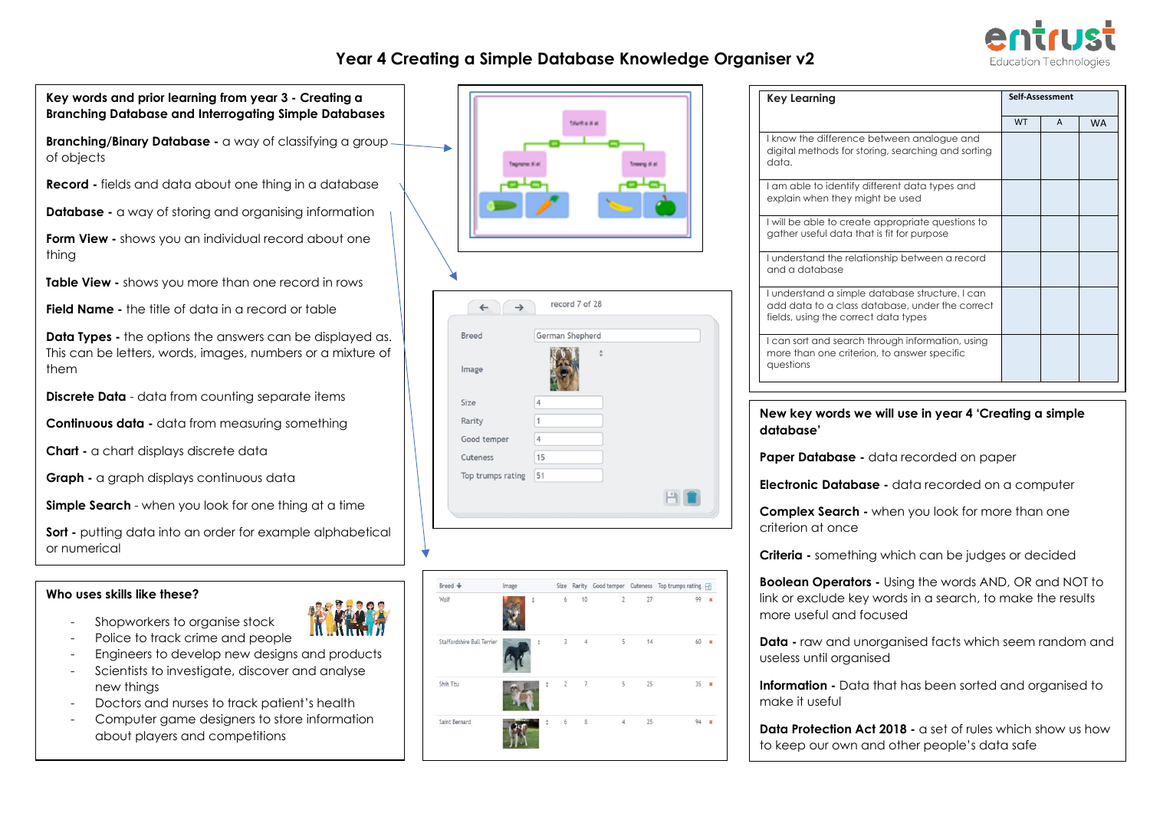### **Year 4 Creating a Simple Database Knowledge Organiser v2**



**Key words and prior learning from year 3 - Creating a Key Learning Self-Assessment Branching Database and [Interrogating Simple Databases](https://bgfl.sharepoint.com/:w:/r/_layouts/15/WopiFrame.aspx?sourcedoc=%7B4119636F-4E38-492B-B030-C2CAC491F746%7D&file=Y3_3.2%20Interrogate%20a%20database.docx&action=default&IsList=1&ListId=%7B713FBC3B-1517-4D25-BF68-F793ED1CCBF7%7D&ListItemId=45) Guida al a Branching/Binary Database -** a way of classifying a group -I know the difference between analogue and digital methods for storing, searching and sorting of objects data. **Record -** fields and data about one thing in a database I am able to identify different data types and explain when they might be used **Database -** a way of storing and organising information I will be able to create appropriate questions to gather useful data that is fit for purpose **Form View -** shows you an individual record about one thing I understand the relationship between a record and a database **Table View -** shows you more than one record in rows I understand a simple database structure. I can record 7 of 28  $\leftarrow$  $\rightarrow$ add data to a class database, under the correct **Field Name -** the title of data in a record or table fields, using the correct data types **Data Types -** the options the answers can be displayed as. Breed German Shepherd I can sort and search through information, using This can be letters, words, images, numbers or a mixture of more than one criterion, to answer specific questions them Image **Discrete Data** - data from counting separate items Size  $\overline{4}$  $1$ **Continuous data -** data from measuring something Rarity **database'** Good temper  $\overline{4}$ **Chart -** a chart displays discrete data 15 **Paper Database -** data recorded on paper Cuteness Top trumps rating 51 **Graph -** a graph displays continuous data 日目 **Simple Search** - when you look for one thing at a time criterion at once **Sort -** putting data into an order for example alphabetical or numerical Rreed & Image Size Rarity Good temper Cuteness Top trumps rating Fall **Who uses skills like these?**  Wolf  $99 - y$  $12.8$ Ĩf

- Shopworkers to organise stock
- Police to track crime and people - Engineers to develop new designs and products
- Scientists to investigate, discover and analyse
- new things
- Doctors and nurses to track patient's health
- Computer game designers to store information about players and competitions

| <b>WITH</b><br>m |
|------------------|
|                  |



| Key Learning                                                                                                                               | Self-Assessment |              |           |
|--------------------------------------------------------------------------------------------------------------------------------------------|-----------------|--------------|-----------|
|                                                                                                                                            | <b>WT</b>       | $\mathsf{A}$ | <b>WA</b> |
| I know the difference between analogue and<br>digital methods for storing, searching and sorting<br>data.                                  |                 |              |           |
| I am able to identify different data types and<br>explain when they might be used                                                          |                 |              |           |
| I will be able to create appropriate questions to<br>gather useful data that is fit for purpose                                            |                 |              |           |
| I understand the relationship between a record<br>and a database                                                                           |                 |              |           |
| I understand a simple database structure. I can<br>add data to a class database, under the correct<br>fields, using the correct data types |                 |              |           |
| I can sort and search through information, using<br>more than one criterion, to answer specific<br>questions                               |                 |              |           |

# **New key words we will use in year 4 'Creating a simple**

**Electronic Database -** data recorded on a computer

**Complex Search -** when you look for more than one

**Criteria -** something which can be judges or decided

**Boolean Operators -** Using the words AND, OR and NOT to link or exclude key words in a search, to make the results more useful and focused

**Data -** raw and unorganised facts which seem random and useless until organised

**Information -** Data that has been sorted and organised to make it useful

**Data Protection Act 2018 -** a set of rules which show us how to keep our own and other people's data safe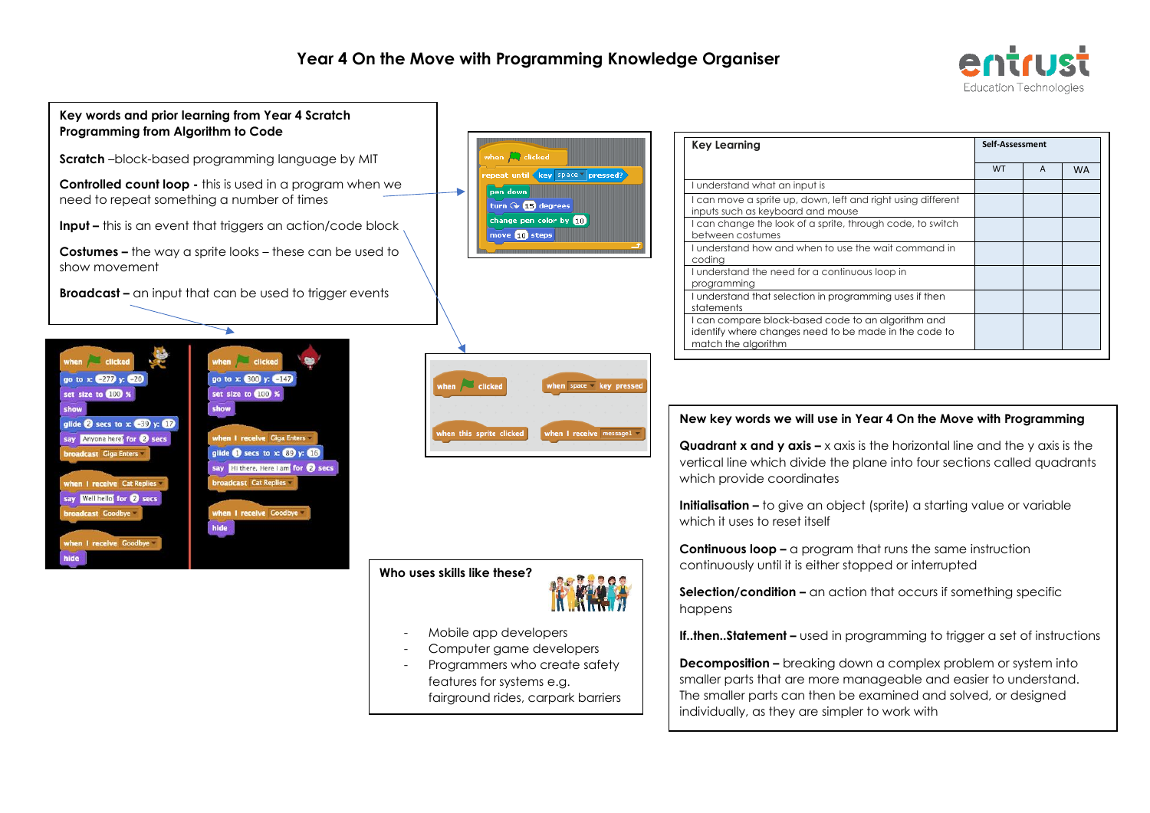



- Mobile app developers
- Computer game developers
- Programmers who create safety features for systems e.g. fairground rides, carpark barriers

**Decomposition –** breaking down a complex problem or system into smaller parts that are more manageable and easier to understand. The smaller parts can then be examined and solved, or designed

individually, as they are simpler to work with

**If..then..Statement –** used in programming to trigger a set of instructions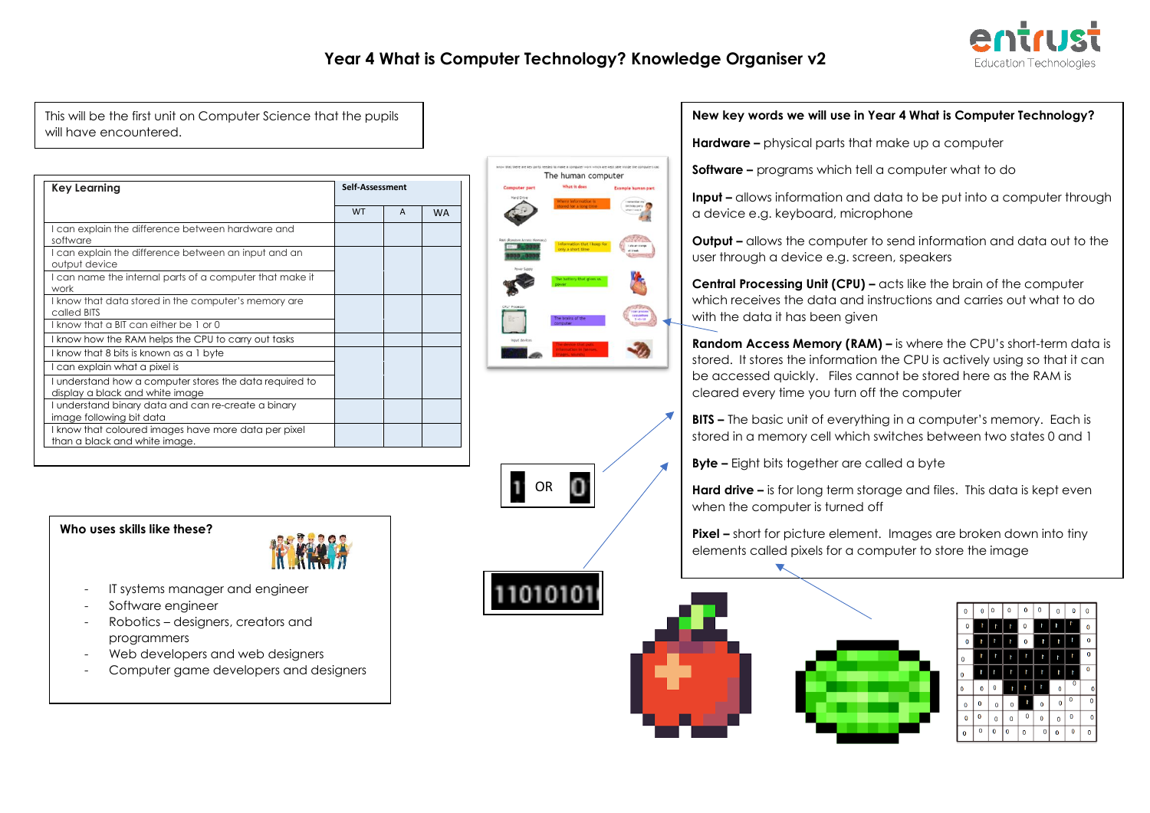

### **Year 4 What is Computer Technology? Knowledge Organiser v2**

This will be the first unit on Computer Science that the pupils will have encountered.

| <b>Key Learning</b>                                                                        |           | Self-Assessment |           |  |
|--------------------------------------------------------------------------------------------|-----------|-----------------|-----------|--|
|                                                                                            | <b>WT</b> | $\overline{A}$  | <b>WA</b> |  |
| I can explain the difference between hardware and<br>software                              |           |                 |           |  |
| I can explain the difference between an input and an<br>output device                      |           |                 |           |  |
| I can name the internal parts of a computer that make it<br>work                           |           |                 |           |  |
| I know that data stored in the computer's memory are<br>called BITS                        |           |                 |           |  |
| I know that a BIT can either be 1 or 0                                                     |           |                 |           |  |
| I know how the RAM helps the CPU to carry out tasks                                        |           |                 |           |  |
| I know that 8 bits is known as a 1 byte                                                    |           |                 |           |  |
| I can explain what a pixel is                                                              |           |                 |           |  |
| I understand how a computer stores the data required to<br>display a black and white image |           |                 |           |  |
| I understand binary data and can re-create a binary<br>image following bit data            |           |                 |           |  |
| I know that coloured images have more data per pixel<br>than a black and white image.      |           |                 |           |  |

The human computer



**Who uses skills like these?** 



- IT systems manager and engineer
- Software engineer
- Robotics designers, creators and programmers
- Web developers and web designers
- Computer game developers and designers



| 0              | $\bf{0}$ | 0           | O           | 0 | 0           | 0           | $\bf{0}$                  | 0           |
|----------------|----------|-------------|-------------|---|-------------|-------------|---------------------------|-------------|
| $\mathbf 0$    | ľ        | ŀ           | ľ           | 0 | ľ           | ŀ           | ľ                         | 0           |
| 0              | ł        | ľ           | ł           | 0 | ľ           | ľ           | t                         | 0           |
| 0              | ľ        | ľ           | ŀ           | ħ | ľ           | ľ           | ľ                         | $\mathbf 0$ |
| 0              | ľ        | r           | ľ           | ľ | t           | ľ           | ľ                         | $\bf{0}$    |
| 0              | 0        | $\bf{0}$    | ľ           | ľ | ľ           | 0           | $\overline{\mathfrak{o}}$ | 0           |
| 0              | 0        | 0           | $\mathbf 0$ | Ì | O           | $\mathbf 0$ | 0                         | 0           |
| $\overline{0}$ | 0        | 0           | $\mathbf 0$ | 0 | $\mathbf 0$ | $\mathbf 0$ | 0                         | 0           |
| 0              | 0        | $\mathbf 0$ | 0           | 0 | O           | $\mathbf 0$ | 0                         | 0           |

### **New key words we will use in Year 4 What is Computer Technology?**

**Hardware –** physical parts that make up a computer

**Software –** programs which tell a computer what to do

**Input –** allows information and data to be put into a computer through a device e.g. keyboard, microphone

**Output –** allows the computer to send information and data out to the user through a device e.g. screen, speakers

**Central Processing Unit (CPU) –** acts like the brain of the computer which receives the data and instructions and carries out what to do with the data it has been given

**Random Access Memory (RAM) –** is where the CPU's short-term data is stored. It stores the information the CPU is actively using so that it can be accessed quickly. Files cannot be stored here as the RAM is cleared every time you turn off the computer

**BITS –** The basic unit of everything in a computer's memory. Each is stored in a memory cell which switches between two states 0 and 1

**Byte –** Eight bits together are called a byte

**Hard drive –** is for long term storage and files. This data is kept even when the computer is turned off

**Pixel –** short for picture element. Images are broken down into tiny elements called pixels for a computer to store the image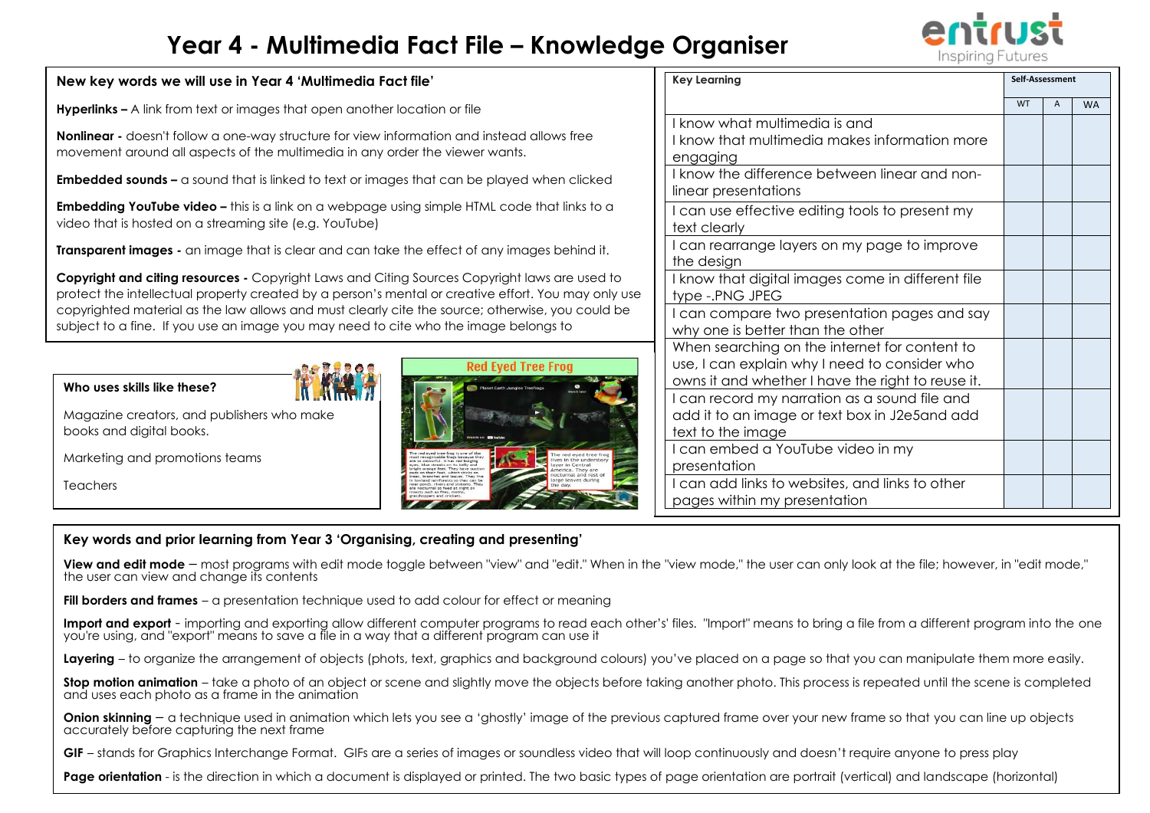# **Year 4 - Multimedia Fact File – Knowledge Organiser**



### **New key words we will use in Year 4 'Multimedia Fact file'**

**Hyperlinks –** A link from text or images that open another location or file

**Nonlinear -** doesn't follow a one-way structure for view information and instead allows free movement around all aspects of the multimedia in any order the viewer wants.

**Embedded sounds** – a sound that is linked to text or images that can be played when clicked

**Embedding YouTube video –** this is a link on a webpage using simple HTML code that links to a video that is hosted on a streaming site (e.g. YouTube)

**Transparent images -** an image that is clear and can take the effect of any images behind it.

**Copyright and citing resources -** Copyright Laws and Citing Sources Copyright laws are used to protect the intellectual property created by a person's mental or creative effort. You may only use copyrighted material as the law allows and must clearly cite the source; otherwise, you could be subject to a fine. If you use an image you may need to cite who the image belongs to

# **Red Eved Tree Frog**

### **Key Learning Self-Assessment** WT A WA I know what multimedia is and I know that multimedia makes information more engaging I know the difference between linear and nonlinear presentations I can use effective editing tools to present my text clearly I can rearrange layers on my page to improve the design I know that digital images come in different file type -.PNG JPEG I can compare two presentation pages and say why one is better than the other When searching on the internet for content to use, I can explain why I need to consider who owns it and whether I have the right to reuse it. I can record my narration as a sound file and add it to an image or text box in J2e5and add text to the image I can embed a YouTube video in my presentation I can add links to websites, and links to other pages within my presentation

## **Key words and prior learning from Year 3 'Organising, creating and presenting'**

**View and edit mode** – most programs with edit mode toggle between "view" and "edit." When in the "view mode," the user can only look at the file; however, in "edit mode," the user can view and change its contents

**Fill borders and frames** – a presentation technique used to add colour for effect or meaning

Import and export - importing and exporting allow different computer programs to read each other's' files. "Import" means to bring a file from a different program into the one you're using, and "export" means to save a file in a way that a different program can use it

**Layering** – to organize the arrangement of objects (phots, text, graphics and background colours) you've placed on a page so that you can manipulate them more easily.

**Stop motion animation** – take a photo of an object or scene and slightly move the objects before taking another photo. This process is repeated until the scene is completed and uses each photo as a frame in the animation

**Onion skinning** – a technique used in animation which lets you see a 'ghostly' image of the previous captured frame over your new frame so that you can line up objects accurately before capturing the next frame

GIF – stands for Graphics Interchange Format. GIFs are a series of images or soundless video that will loop continuously and doesn't require anyone to press play

**Page orientation** - is the direction in which a document is displayed or printed. The two basic types of page orientation are portrait (vertical) and landscape (horizontal)

Magazine creators, and publishers who make books and digital books.

Marketing and promotions teams

**Who uses skills like these?** 

**Teachers**